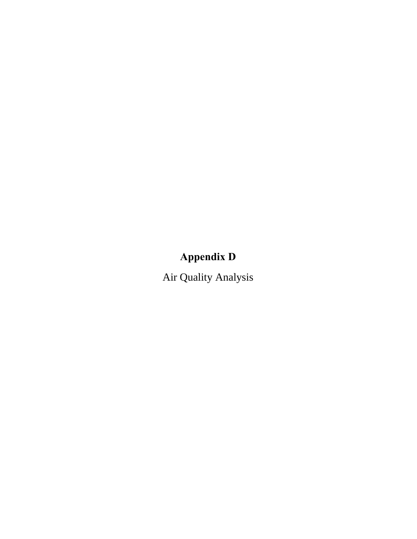# **Appendix D**

Air Quality Analysis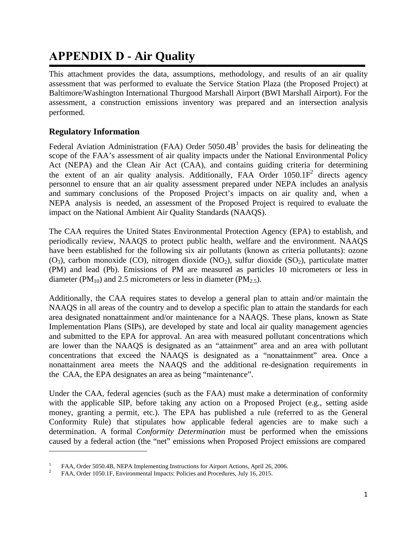## **APPENDIX D - Air Quality**

This attachment provides the data, assumptions, methodology, and results of an air quality assessment that was performed to evaluate the Service Station Plaza (the Proposed Project) at Baltimore/Washington International Thurgood Marshall Airport (BWI Marshall Airport). For the assessment, a construction emissions inventory was prepared and an intersection analysis performed.

## **Regulatory Information**

Federal Aviation Administration (FAA) Order  $5050.4B<sup>1</sup>$  $5050.4B<sup>1</sup>$  $5050.4B<sup>1</sup>$  provides the basis for delineating the scope of the FAA's assessment of air quality impacts under the National Environmental Policy Act (NEPA) and the Clean Air Act (CAA), and contains guiding criteria for determining the extent of an air quality analysis. Additionally, FAA Or[de](#page-2-1)r  $1050.1F<sup>2</sup>$  directs agency personnel to ensure that an air quality assessment prepared under NEPA includes an analysis and summary conclusions of the Proposed Project's impacts on air quality and, when a NEPA analysis is needed, an assessment of the Proposed Project is required to evaluate the impact on the National Ambient Air Quality Standards (NAAQS).

The CAA requires the United States Environmental Protection Agency (EPA) to establish, and periodically review, NAAQS to protect public health, welfare and the environment. NAAQS have been established for the following six air pollutants (known as criteria pollutants): ozone  $(O_3)$ , carbon monoxide (CO), nitrogen dioxide (NO<sub>2</sub>), sulfur dioxide (SO<sub>2</sub>), particulate matter (PM) and lead (Pb). Emissions of PM are measured as particles 10 micrometers or less in diameter (PM<sub>10</sub>) and 2.5 micrometers or less in diameter (PM<sub>2.5</sub>).

Additionally, the CAA requires states to develop a general plan to attain and/or maintain the NAAQS in all areas of the country and to develop a specific plan to attain the standards for each area designated nonattainment and/or maintenance for a NAAQS. These plans, known as State Implementation Plans (SIPs), are developed by state and local air quality management agencies and submitted to the EPA for approval. An area with measured pollutant concentrations which are lower than the NAAQS is designated as an "attainment" area and an area with pollutant concentrations that exceed the NAAQS is designated as a "nonattainment" area. Once a nonattainment area meets the NAAQS and the additional re-designation requirements in the CAA, the EPA designates an area as being "maintenance".

Under the CAA, federal agencies (such as the FAA) must make a determination of conformity with the applicable SIP, before taking any action on a Proposed Project (e.g., setting aside money, granting a permit, etc.). The EPA has published a rule (referred to as the General Conformity Rule) that stipulates how applicable federal agencies are to make such a determination. A formal *Conformity Determination* must be performed when the emissions caused by a federal action (the "net" emissions when Proposed Project emissions are compared

<span id="page-2-1"></span><span id="page-2-0"></span><sup>&</sup>lt;sup>1</sup> FAA, Order 5050.4B, NEPA Implementing Instructions for Airport Actions, April 26, 2006.<br><sup>2</sup> FAA, Order 1050.1F, Environmental Impacts: Policies and Procedures, July 16, 2015.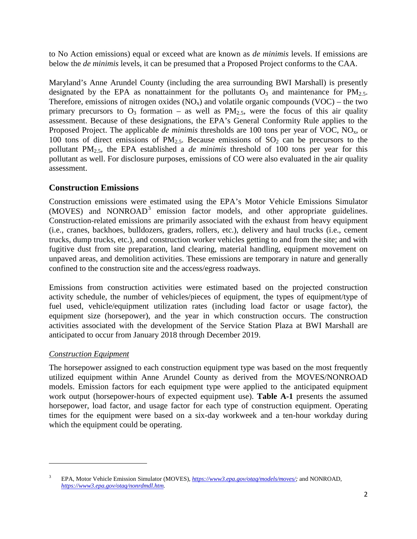to No Action emissions) equal or exceed what are known as *de minimis* levels. If emissions are below the *de minimis* levels, it can be presumed that a Proposed Project conforms to the CAA.

Maryland's Anne Arundel County (including the area surrounding BWI Marshall) is presently designated by the EPA as nonattainment for the pollutants  $O_3$  and maintenance for PM<sub>2.5</sub>. Therefore, emissions of nitrogen oxides  $(NO<sub>x</sub>)$  and volatile organic compounds  $(VOC)$  – the two primary precursors to  $O_3$  formation – as well as  $PM_{2.5}$ , were the focus of this air quality assessment. Because of these designations, the EPA's General Conformity Rule applies to the Proposed Project. The applicable *de minimis* thresholds are 100 tons per year of VOC, NO<sub>x</sub>, or 100 tons of direct emissions of  $PM_{2.5}$ . Because emissions of  $SO_2$  can be precursors to the pollutant PM2.5, the EPA established a *de minimis* threshold of 100 tons per year for this pollutant as well. For disclosure purposes, emissions of CO were also evaluated in the air quality assessment.

#### **Construction Emissions**

Construction emissions were estimated using the EPA's Motor Vehicle Emissions Simulator  $(MOVES)$  and  $NONROAD<sup>3</sup>$  $NONROAD<sup>3</sup>$  $NONROAD<sup>3</sup>$  emission factor models, and other appropriate guidelines. Construction-related emissions are primarily associated with the exhaust from heavy equipment (i.e., cranes, backhoes, bulldozers, graders, rollers, etc.), delivery and haul trucks (i.e., cement trucks, dump trucks, etc.), and construction worker vehicles getting to and from the site; and with fugitive dust from site preparation, land clearing, material handling, equipment movement on unpaved areas, and demolition activities. These emissions are temporary in nature and generally confined to the construction site and the access/egress roadways.

Emissions from construction activities were estimated based on the projected construction activity schedule, the number of vehicles/pieces of equipment, the types of equipment/type of fuel used, vehicle/equipment utilization rates (including load factor or usage factor), the equipment size (horsepower), and the year in which construction occurs. The construction activities associated with the development of the Service Station Plaza at BWI Marshall are anticipated to occur from January 2018 through December 2019.

#### *Construction Equipment*

The horsepower assigned to each construction equipment type was based on the most frequently utilized equipment within Anne Arundel County as derived from the MOVES/NONROAD models. Emission factors for each equipment type were applied to the anticipated equipment work output (horsepower-hours of expected equipment use). **Table A-1** presents the assumed horsepower, load factor, and usage factor for each type of construction equipment. Operating times for the equipment were based on a six-day workweek and a ten-hour workday during which the equipment could be operating.

<span id="page-3-0"></span><sup>3</sup> EPA, Motor Vehicle Emission Simulator (MOVES), *[https://www3.epa.gov/otaq/models/moves/;](https://www3.epa.gov/otaq/models/moves/)* and NONROAD, *[https://www3.epa.gov/otaq/nonrdmdl.htm.](https://www3.epa.gov/otaq/nonrdmdl.htm)*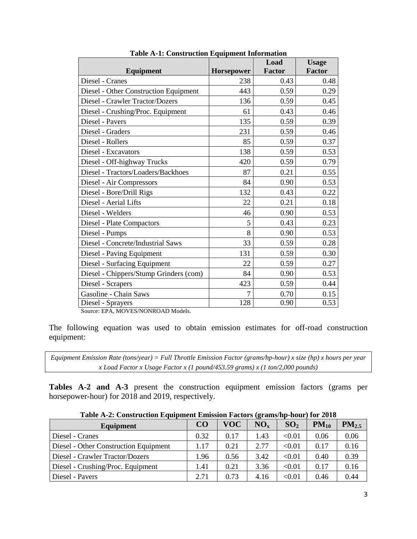| <b>Equipment</b>                       | <b>Horsepower</b> | Load<br><b>Factor</b> | <b>Usage</b><br><b>Factor</b> |
|----------------------------------------|-------------------|-----------------------|-------------------------------|
| Diesel - Cranes                        | 238               | 0.43                  | 0.48                          |
| Diesel - Other Construction Equipment  | 443               | 0.59                  | 0.29                          |
| Diesel - Crawler Tractor/Dozers        | 136               | 0.59                  | 0.45                          |
| Diesel - Crushing/Proc. Equipment      | 61                | 0.43                  | 0.46                          |
| Diesel - Pavers                        | 135               | 0.59                  | 0.39                          |
| Diesel - Graders                       | 231               | 0.59                  | 0.46                          |
| Diesel - Rollers                       | 85                | 0.59                  | 0.37                          |
| Diesel - Excavators                    | 138               | 0.59                  | 0.53                          |
| Diesel - Off-highway Trucks            | 420               | 0.59                  | 0.79                          |
| Diesel - Tractors/Loaders/Backhoes     | 87                | 0.21                  | 0.55                          |
| Diesel - Air Compressors               | 84                | 0.90                  | 0.53                          |
| Diesel - Bore/Drill Rigs               | 132               | 0.43                  | 0.22                          |
| Diesel - Aerial Lifts                  | 22                | 0.21                  | 0.18                          |
| Diesel - Welders                       | 46                | 0.90                  | 0.53                          |
| Diesel - Plate Compactors              | 5                 | 0.43                  | 0.23                          |
| Diesel - Pumps                         | 8                 | 0.90                  | 0.53                          |
| Diesel - Concrete/Industrial Saws      | 33                | 0.59                  | 0.28                          |
| Diesel - Paving Equipment              | 131               | 0.59                  | 0.30                          |
| Diesel - Surfacing Equipment           | 22                | 0.59                  | 0.27                          |
| Diesel - Chippers/Stump Grinders (com) | 84                | 0.90                  | 0.53                          |
| Diesel - Scrapers                      | 423               | 0.59                  | 0.44                          |
| Gasoline - Chain Saws                  | 7                 | 0.70                  | 0.15                          |
| Diesel - Sprayers                      | 128               | 0.90                  | 0.53                          |

**Table A-1: Construction Equipment Information**

Source: EPA, MOVES/NONROAD Models.

The following equation was used to obtain emission estimates for off-road construction equipment:

*Equipment Emission Rate (tons/year) = Full Throttle Emission Factor (grams/hp-hour) x size (hp) x hours per year x Load Factor x Usage Factor x (1 pound/453.59 grams) x (1 ton/2,000 pounds)*

**Tables A-2 and A-3** present the construction equipment emission factors (grams per horsepower-hour) for 2018 and 2019, respectively.

| Table A-2, Construction Equipment Emission Factors (grams/np-nour) for 2016 |      |            |          |                 |           |                   |
|-----------------------------------------------------------------------------|------|------------|----------|-----------------|-----------|-------------------|
| Equipment                                                                   | CO   | <b>VOC</b> | $NO_{x}$ | SO <sub>2</sub> | $PM_{10}$ | PM <sub>2.5</sub> |
| Diesel - Cranes                                                             | 0.32 | 0.17       | 1.43     | < 0.01          | 0.06      | 0.06              |
| Diesel - Other Construction Equipment                                       | 1.17 | 0.21       | 2.77     | < 0.01          | 0.17      | 0.16              |
| Diesel - Crawler Tractor/Dozers                                             | 1.96 | 0.56       | 3.42     | < 0.01          | 0.40      | 0.39              |
| Diesel - Crushing/Proc. Equipment                                           | 1.41 | 0.21       | 3.36     | < 0.01          | 0.17      | 0.16              |
| Diesel - Pavers                                                             | 2.71 | 0.73       | 4.16     | < 0.01          | 0.46      | 0.44              |

**Table A-2: Construction Equipment Emission Factors (grams/hp-hour) for 2018**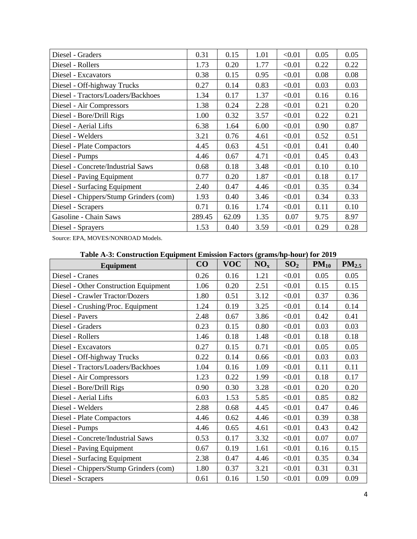| Diesel - Graders                       | 0.31   | 0.15  | 1.01 | < 0.01 | 0.05 | 0.05 |
|----------------------------------------|--------|-------|------|--------|------|------|
| Diesel - Rollers                       | 1.73   | 0.20  | 1.77 | < 0.01 | 0.22 | 0.22 |
| Diesel - Excavators                    | 0.38   | 0.15  | 0.95 | < 0.01 | 0.08 | 0.08 |
| Diesel - Off-highway Trucks            | 0.27   | 0.14  | 0.83 | < 0.01 | 0.03 | 0.03 |
| Diesel - Tractors/Loaders/Backhoes     | 1.34   | 0.17  | 1.37 | < 0.01 | 0.16 | 0.16 |
| Diesel - Air Compressors               | 1.38   | 0.24  | 2.28 | < 0.01 | 0.21 | 0.20 |
| Diesel - Bore/Drill Rigs               | 1.00   | 0.32  | 3.57 | < 0.01 | 0.22 | 0.21 |
| Diesel - Aerial Lifts                  | 6.38   | 1.64  | 6.00 | < 0.01 | 0.90 | 0.87 |
| Diesel - Welders                       | 3.21   | 0.76  | 4.61 | < 0.01 | 0.52 | 0.51 |
| <b>Diesel - Plate Compactors</b>       | 4.45   | 0.63  | 4.51 | < 0.01 | 0.41 | 0.40 |
| Diesel - Pumps                         | 4.46   | 0.67  | 4.71 | < 0.01 | 0.45 | 0.43 |
| Diesel - Concrete/Industrial Saws      | 0.68   | 0.18  | 3.48 | < 0.01 | 0.10 | 0.10 |
| Diesel - Paving Equipment              | 0.77   | 0.20  | 1.87 | < 0.01 | 0.18 | 0.17 |
| Diesel - Surfacing Equipment           | 2.40   | 0.47  | 4.46 | < 0.01 | 0.35 | 0.34 |
| Diesel - Chippers/Stump Grinders (com) | 1.93   | 0.40  | 3.46 | < 0.01 | 0.34 | 0.33 |
| Diesel - Scrapers                      | 0.71   | 0.16  | 1.74 | < 0.01 | 0.11 | 0.10 |
| Gasoline - Chain Saws                  | 289.45 | 62.09 | 1.35 | 0.07   | 9.75 | 8.97 |
| Diesel - Sprayers                      | 1.53   | 0.40  | 3.59 | < 0.01 | 0.29 | 0.28 |

Source: EPA, MOVES/NONROAD Models.

#### **Table A-3: Construction Equipment Emission Factors (grams/hp-hour) for 2019**

| <b>Equipment</b>                       | CO   | <b>VOC</b> | NO <sub>x</sub> | SO <sub>2</sub> | $PM_{10}$ | $PM_{2.5}$ |
|----------------------------------------|------|------------|-----------------|-----------------|-----------|------------|
| Diesel - Cranes                        | 0.26 | 0.16       | 1.21            | < 0.01          | 0.05      | 0.05       |
| Diesel - Other Construction Equipment  | 1.06 | 0.20       | 2.51            | < 0.01          | 0.15      | 0.15       |
| Diesel - Crawler Tractor/Dozers        | 1.80 | 0.51       | 3.12            | < 0.01          | 0.37      | 0.36       |
| Diesel - Crushing/Proc. Equipment      | 1.24 | 0.19       | 3.25            | < 0.01          | 0.14      | 0.14       |
| Diesel - Pavers                        | 2.48 | 0.67       | 3.86            | < 0.01          | 0.42      | 0.41       |
| Diesel - Graders                       | 0.23 | 0.15       | 0.80            | < 0.01          | 0.03      | 0.03       |
| Diesel - Rollers                       | 1.46 | 0.18       | 1.48            | < 0.01          | 0.18      | 0.18       |
| Diesel - Excavators                    | 0.27 | 0.15       | 0.71            | < 0.01          | 0.05      | 0.05       |
| Diesel - Off-highway Trucks            | 0.22 | 0.14       | 0.66            | < 0.01          | 0.03      | 0.03       |
| Diesel - Tractors/Loaders/Backhoes     | 1.04 | 0.16       | 1.09            | < 0.01          | 0.11      | 0.11       |
| Diesel - Air Compressors               | 1.23 | 0.22       | 1.99            | < 0.01          | 0.18      | 0.17       |
| Diesel - Bore/Drill Rigs               | 0.90 | 0.30       | 3.28            | < 0.01          | 0.20      | 0.20       |
| Diesel - Aerial Lifts                  | 6.03 | 1.53       | 5.85            | < 0.01          | 0.85      | 0.82       |
| Diesel - Welders                       | 2.88 | 0.68       | 4.45            | < 0.01          | 0.47      | 0.46       |
| Diesel - Plate Compactors              | 4.46 | 0.62       | 4.46            | < 0.01          | 0.39      | 0.38       |
| Diesel - Pumps                         | 4.46 | 0.65       | 4.61            | < 0.01          | 0.43      | 0.42       |
| Diesel - Concrete/Industrial Saws      | 0.53 | 0.17       | 3.32            | < 0.01          | 0.07      | 0.07       |
| Diesel - Paving Equipment              | 0.67 | 0.19       | 1.61            | < 0.01          | 0.16      | 0.15       |
| Diesel - Surfacing Equipment           | 2.38 | 0.47       | 4.46            | < 0.01          | 0.35      | 0.34       |
| Diesel - Chippers/Stump Grinders (com) | 1.80 | 0.37       | 3.21            | < 0.01          | 0.31      | 0.31       |
| Diesel - Scrapers                      | 0.61 | 0.16       | 1.50            | < 0.01          | 0.09      | 0.09       |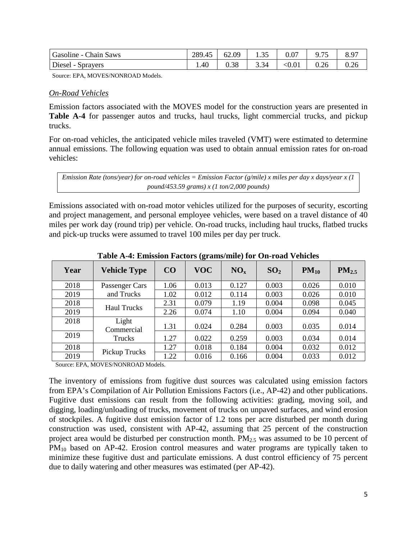| Gasoline - Chain Saws | 289.45 | 62.09 | 1.35        | 0.07   | 9.75 | 8.97 |
|-----------------------|--------|-------|-------------|--------|------|------|
| Diesel - Sprayers     | 1.40   | 0.38  | 334<br>J.J⊤ | < 0.01 | 0.26 | 0.26 |

Source: EPA, MOVES/NONROAD Models.

#### *On-Road Vehicles*

Emission factors associated with the MOVES model for the construction years are presented in Table A-4 for passenger autos and trucks, haul trucks, light commercial trucks, and pickup trucks.

For on-road vehicles, the anticipated vehicle miles traveled (VMT) were estimated to determine annual emissions. The following equation was used to obtain annual emission rates for on-road vehicles:

*Emission Rate (tons/year) for on-road vehicles = Emission Factor (g/mile) x miles per day x days/year x (1 pound/453.59 grams) x (1 ton/2,000 pounds)* 

Emissions associated with on-road motor vehicles utilized for the purposes of security, escorting and project management, and personal employee vehicles, were based on a travel distance of 40 miles per work day (round trip) per vehicle. On-road trucks, including haul trucks, flatbed trucks and pick-up trucks were assumed to travel 100 miles per day per truck.

|      |                     | $\cdots$ $\cdots$ $\cdots$ $\cdots$ $\cdots$ $\cdots$ $\cdots$ |            | $\sum_{i=1}^{n}$ |                 |           |            |
|------|---------------------|----------------------------------------------------------------|------------|------------------|-----------------|-----------|------------|
| Year | <b>Vehicle Type</b> | CO                                                             | <b>VOC</b> | NO <sub>x</sub>  | SO <sub>2</sub> | $PM_{10}$ | $PM_{2.5}$ |
| 2018 | Passenger Cars      | 1.06                                                           | 0.013      | 0.127            | 0.003           | 0.026     | 0.010      |
| 2019 | and Trucks          | 1.02                                                           | 0.012      | 0.114            | 0.003           | 0.026     | 0.010      |
| 2018 | <b>Haul Trucks</b>  | 2.31                                                           | 0.079      | 1.19             | 0.004           | 0.098     | 0.045      |
| 2019 |                     | 2.26                                                           | 0.074      | 1.10             | 0.004           | 0.094     | 0.040      |
| 2018 | Light<br>Commercial | 1.31                                                           | 0.024      | 0.284            | 0.003           | 0.035     | 0.014      |
| 2019 | Trucks              | 1.27                                                           | 0.022      | 0.259            | 0.003           | 0.034     | 0.014      |
| 2018 | Pickup Trucks       | 1.27                                                           | 0.018      | 0.184            | 0.004           | 0.032     | 0.012      |
| 2019 |                     | 1.22                                                           | 0.016      | 0.166            | 0.004           | 0.033     | 0.012      |

**Table A-4: Emission Factors (grams/mile) for On-road Vehicles**

Source: EPA, MOVES/NONROAD Models.

The inventory of emissions from fugitive dust sources was calculated using emission factors from EPA's Compilation of Air Pollution Emissions Factors (i.e., AP-42) and other publications. Fugitive dust emissions can result from the following activities: grading, moving soil, and digging, loading/unloading of trucks, movement of trucks on unpaved surfaces, and wind erosion of stockpiles. A fugitive dust emission factor of 1.2 tons per acre disturbed per month during construction was used, consistent with AP-42, assuming that 25 percent of the construction project area would be disturbed per construction month.  $PM_{2.5}$  was assumed to be 10 percent of  $PM_{10}$  based on AP-42. Erosion control measures and water programs are typically taken to minimize these fugitive dust and particulate emissions. A dust control efficiency of 75 percent due to daily watering and other measures was estimated (per AP-42).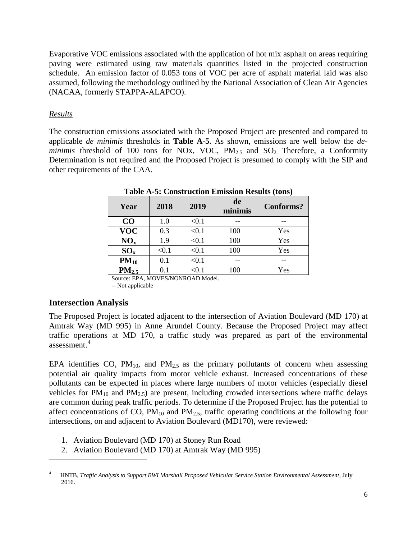Evaporative VOC emissions associated with the application of hot mix asphalt on areas requiring paving were estimated using raw materials quantities listed in the projected construction schedule. An emission factor of 0.053 tons of VOC per acre of asphalt material laid was also assumed, following the methodology outlined by the National Association of Clean Air Agencies (NACAA, formerly STAPPA-ALAPCO).

#### *Results*

The construction emissions associated with the Proposed Project are presented and compared to applicable *de minimis* thresholds in **Table A-5**. As shown, emissions are well below the *deminimis* threshold of 100 tons for NOx, VOC,  $PM_{2.5}$  and  $SO_2$ . Therefore, a Conformity Determination is not required and the Proposed Project is presumed to comply with the SIP and other requirements of the CAA.

| Year              | 2018    | 2019       | de<br>minimis | Conforms? |
|-------------------|---------|------------|---------------|-----------|
| CO                | $1.0\,$ | < 0.1      |               |           |
| <b>VOC</b>        | 0.3     | < 0.1      | 100           | Yes       |
| NO <sub>x</sub>   | 1.9     | < 0.1      | 100           | Yes       |
| $SO_{x}$          | < 0.1   | < 0.1      | 100           | Yes       |
| $PM_{10}$         | 0.1     | < 0.1      |               |           |
| PM <sub>2.5</sub> | 0.1     | $< \! 0.1$ | 100           | Yes       |

**Table A-5: Construction Emission Results (tons)**

Source: EPA, MOVES/NONROAD Model. -- Not applicable

#### **Intersection Analysis**

l

The Proposed Project is located adjacent to the intersection of Aviation Boulevard (MD 170) at Amtrak Way (MD 995) in Anne Arundel County. Because the Proposed Project may affect traffic operations at MD 170, a traffic study was prepared as part of the environmental assessment.[4](#page-7-0)

EPA identifies CO,  $PM_{10}$ , and  $PM_{2.5}$  as the primary pollutants of concern when assessing potential air quality impacts from motor vehicle exhaust. Increased concentrations of these pollutants can be expected in places where large numbers of motor vehicles (especially diesel vehicles for  $PM_{10}$  and  $PM_{2.5}$ ) are present, including crowded intersections where traffic delays are common during peak traffic periods. To determine if the Proposed Project has the potential to affect concentrations of CO,  $PM_{10}$  and  $PM_{2.5}$ , traffic operating conditions at the following four intersections, on and adjacent to Aviation Boulevard (MD170), were reviewed:

- 1. Aviation Boulevard (MD 170) at Stoney Run Road
- 2. Aviation Boulevard (MD 170) at Amtrak Way (MD 995)

<span id="page-7-0"></span><sup>4</sup> HNTB, *Traffic Analysis to Support BWI Marshall Proposed Vehicular Service Station Environmental Assessment*, July 2016.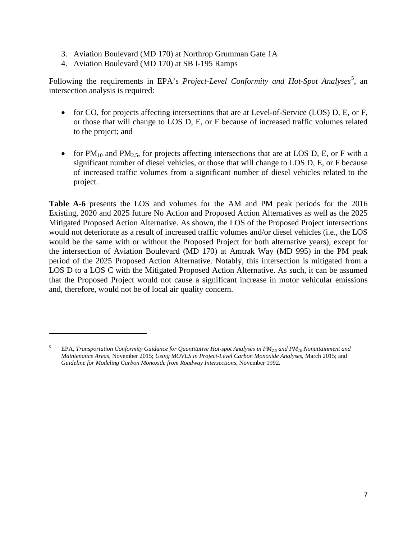- 3. Aviation Boulevard (MD 170) at Northrop Grumman Gate 1A
- 4. Aviation Boulevard (MD 170) at SB I-195 Ramps

l

Following the requirements in EPA's *Project-Level Conformity and Hot-Spot Analyses*<sup>[5](#page-8-0)</sup>, an intersection analysis is required:

- for CO, for projects affecting intersections that are at Level-of-Service (LOS) D, E, or F, or those that will change to LOS D, E, or F because of increased traffic volumes related to the project; and
- for  $PM_{10}$  and  $PM_{2.5}$ , for projects affecting intersections that are at LOS D, E, or F with a significant number of diesel vehicles, or those that will change to LOS D, E, or F because of increased traffic volumes from a significant number of diesel vehicles related to the project.

**Table A-6** presents the LOS and volumes for the AM and PM peak periods for the 2016 Existing, 2020 and 2025 future No Action and Proposed Action Alternatives as well as the 2025 Mitigated Proposed Action Alternative. As shown, the LOS of the Proposed Project intersections would not deteriorate as a result of increased traffic volumes and/or diesel vehicles (i.e., the LOS would be the same with or without the Proposed Project for both alternative years), except for the intersection of Aviation Boulevard (MD 170) at Amtrak Way (MD 995) in the PM peak period of the 2025 Proposed Action Alternative. Notably, this intersection is mitigated from a LOS D to a LOS C with the Mitigated Proposed Action Alternative. As such, it can be assumed that the Proposed Project would not cause a significant increase in motor vehicular emissions and, therefore, would not be of local air quality concern.

<span id="page-8-0"></span><sup>5</sup> EPA, *Transportation Conformity Guidance for Quantitative Hot-spot Analyses in PM2.5 and PM10 Nonattainment and Maintenance Areas*, November 2015; *Using MOVES in Project-Level Carbon Monoxide Analyses*, March 2015; and *Guideline for Modeling Carbon Monoxide from Roadway Intersections*, November 1992.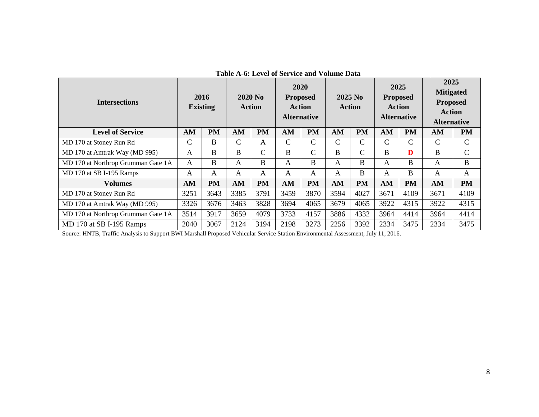| <b>Intersections</b>               |              | 2016<br><b>Existing</b> |              | $2020$ No<br>Action | 2020<br><b>Proposed</b> | <b>Action</b><br><b>Alternative</b> |              | 2025 No<br><b>Action</b> | 2025          | <b>Proposed</b><br><b>Action</b><br><b>Alternative</b> | 2025<br><b>Mitigated</b><br><b>Proposed</b><br><b>Action</b><br><b>Alternative</b> |               |
|------------------------------------|--------------|-------------------------|--------------|---------------------|-------------------------|-------------------------------------|--------------|--------------------------|---------------|--------------------------------------------------------|------------------------------------------------------------------------------------|---------------|
| <b>Level of Service</b>            | AM           | <b>PM</b>               | AM           | <b>PM</b>           | AM                      | <b>PM</b>                           | AM           | <b>PM</b>                | AM            | <b>PM</b>                                              | AM                                                                                 | <b>PM</b>     |
| MD 170 at Stoney Run Rd            | $\mathsf{C}$ | B                       | $\mathsf{C}$ | A                   | $\mathcal{C}$           | $\mathcal{C}$                       | C            | $\mathcal{C}$            | $\mathcal{C}$ | $\mathcal{C}$                                          | $\mathcal{C}$                                                                      | $\mathcal{C}$ |
| MD 170 at Amtrak Way (MD 995)      | A            | B                       | B            | $\mathcal{C}$       | B                       | C                                   | B            | $\mathcal{C}$            | B             | D                                                      | B                                                                                  | $\mathcal{C}$ |
| MD 170 at Northrop Grumman Gate 1A | A            | B                       | A            | B                   | A                       | В                                   | A            | B                        | A             | B                                                      | A                                                                                  | B             |
| MD 170 at SB I-195 Ramps           | A            | A                       | A            | A                   | A                       | A                                   | $\mathsf{A}$ | B                        | A             | B                                                      | A                                                                                  | A             |
| <b>Volumes</b>                     | AM           | PM                      | AM           | <b>PM</b>           | AM                      | <b>PM</b>                           | AM           | <b>PM</b>                | AM            | <b>PM</b>                                              | AM                                                                                 | <b>PM</b>     |
| MD 170 at Stoney Run Rd            | 3251         | 3643                    | 3385         | 3791                | 3459                    | 3870                                | 3594         | 4027                     | 3671          | 4109                                                   | 3671                                                                               | 4109          |
| MD 170 at Amtrak Way (MD 995)      | 3326         | 3676                    | 3463         | 3828                | 3694                    | 4065                                | 3679         | 4065                     | 3922          | 4315                                                   | 3922                                                                               | 4315          |
| MD 170 at Northrop Grumman Gate 1A | 3514         | 3917                    | 3659         | 4079                | 3733                    | 4157                                | 3886         | 4332                     | 3964          | 4414                                                   | 3964                                                                               | 4414          |
| MD 170 at SB I-195 Ramps           | 2040         | 3067                    | 2124         | 3194                | 2198                    | 3273                                | 2256         | 3392                     | 2334          | 3475                                                   | 2334                                                                               | 3475          |

#### **Table A-6: Level of Service and Volume Data**

Source: HNTB, Traffic Analysis to Support BWI Marshall Proposed Vehicular Service Station Environmental Assessment, July 11, 2016.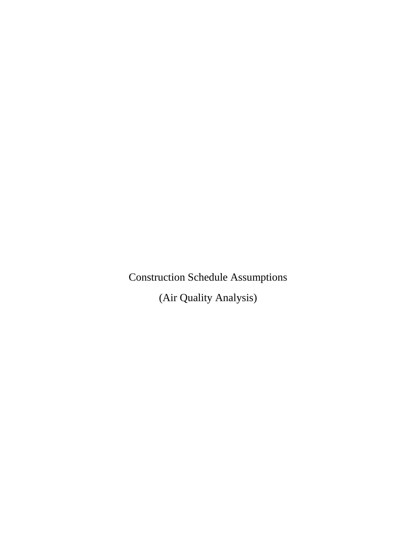Construction Schedule Assumptions

(Air Quality Analysis)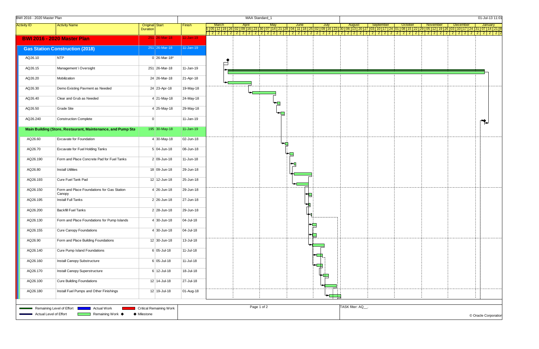| <b>BWI 2016 - 2020 Master Plan</b> |                                                                                                 |                                          |                                |                 |                               |                       | MAA Standard_1                                                                                                                                   |     |               |    |                           |                  |           |         |          |          | 01-Jul-13 11:01         |
|------------------------------------|-------------------------------------------------------------------------------------------------|------------------------------------------|--------------------------------|-----------------|-------------------------------|-----------------------|--------------------------------------------------------------------------------------------------------------------------------------------------|-----|---------------|----|---------------------------|------------------|-----------|---------|----------|----------|-------------------------|
| <b>Activity ID</b>                 | <b>Activity Name</b>                                                                            | <b>Original</b> Start<br><b>Duration</b> |                                | Finish          | <b>March</b><br>2   2   2   2 | <b>April</b><br>2 2 2 | 6 05 12 19 26 02 09 16 23 30 07 14 21 28 04 11 18 25 02 09 16 23 30 06 13 20 27 03 10 17 24 01 08 15 22 29 05 12 19 26 03 10 17 24 31 07 14 21 8 | May | June<br>21221 |    | July                      | August           | September | October | November | December | January<br>2   2   2  2 |
|                                    | <b>BWI 2016 - 2020 Master Plan</b>                                                              |                                          | 251 26-Mar-18                  | $11 - Jan - 19$ |                               |                       |                                                                                                                                                  |     |               |    |                           |                  |           |         |          |          |                         |
|                                    | <b>Gas Station Construction (2018)</b>                                                          |                                          | $251$ 26-Mar-18                | 11-Jan-19       |                               |                       |                                                                                                                                                  |     |               |    |                           |                  |           |         |          |          |                         |
| AQ26.10                            | NTP                                                                                             |                                          | 0 26-Mar-18*                   |                 | □                             |                       |                                                                                                                                                  |     |               |    |                           |                  |           |         |          |          |                         |
| AQ26.15                            | Management \ Oversight                                                                          |                                          | 251 26-Mar-18                  | 11-Jan-19       |                               |                       |                                                                                                                                                  |     |               |    |                           |                  |           |         |          |          |                         |
| AQ26.20                            | Mobilization                                                                                    |                                          | 24 26-Mar-18                   | 21-Apr-18       |                               |                       |                                                                                                                                                  |     |               |    |                           |                  |           |         |          |          |                         |
| AQ26.30                            | Demo Existing Pavment as Needed                                                                 |                                          | 24 23-Apr-18                   | 19-May-18       |                               |                       |                                                                                                                                                  |     |               |    |                           |                  |           |         |          |          |                         |
| AQ26.40                            | Clear and Grub as Needed                                                                        |                                          | $4 \vert 21$ -May-18           | 24-May-18       |                               |                       |                                                                                                                                                  | ┗━□ |               |    |                           |                  |           |         |          |          |                         |
| AQ26.50                            | <b>Grade Site</b>                                                                               |                                          | $4 25$ -May-18                 | 29-May-18       |                               |                       |                                                                                                                                                  |     |               |    |                           |                  |           |         |          |          |                         |
| AQ26.240                           | <b>Construction Complete</b>                                                                    | $\Omega$                                 |                                | 11-Jan-19       |                               |                       |                                                                                                                                                  |     |               |    |                           |                  |           |         |          |          |                         |
|                                    | Main Building (Store, Restaurant, Maintenance, and Pump Sta                                     |                                          | 195 30-May-18                  | $11 - Jan-19$   |                               |                       |                                                                                                                                                  |     |               |    |                           |                  |           |         |          |          |                         |
| AQ26.60                            | Excavate for Foundation                                                                         |                                          | $4 30-May-18$                  | 02-Jun-18       |                               |                       |                                                                                                                                                  |     |               |    |                           |                  |           |         |          |          |                         |
| AQ26.70                            | Excavate for Fuel Holding Tanks                                                                 |                                          | $5 04 - Jun-18$                | 08-Jun-18       |                               |                       |                                                                                                                                                  |     |               |    |                           |                  |           |         |          |          |                         |
| AQ26.190                           | Form and Place Concrete Pad for Fuel Tanks                                                      |                                          | $2 09 - Jun - 18$              | 11-Jun-18       |                               |                       |                                                                                                                                                  |     |               |    |                           |                  |           |         |          |          |                         |
| AQ26.80                            | <b>Install Utilities</b>                                                                        |                                          | 18 09-Jun-18                   | 29-Jun-18       |                               |                       |                                                                                                                                                  |     |               |    |                           |                  |           |         |          |          |                         |
| AQ26.193                           | Cure Fuel Tank Pad                                                                              |                                          | $12$ 12-Jun-18                 | 25-Jun-18       |                               |                       |                                                                                                                                                  |     |               |    |                           |                  |           |         |          |          |                         |
| AQ26.150                           | Form and Place Foundations for Gas Station<br>Canopy                                            |                                          | $4 26 - Jun-18$                | 29-Jun-18       |                               |                       |                                                                                                                                                  |     |               |    |                           |                  |           |         |          |          |                         |
| AQ26.195                           | Install Full Tanks                                                                              |                                          | $2 26 - Jun-18$                | 27-Jun-18       |                               |                       |                                                                                                                                                  |     |               |    |                           |                  |           |         |          |          |                         |
| AQ26.200                           | <b>Backfill Fuel Tanks</b>                                                                      |                                          | $2 28 - Jun-18$                | 29-Jun-18       |                               |                       |                                                                                                                                                  |     |               |    | $\mathbf{T}^{\mathbf{u}}$ |                  |           |         |          |          |                         |
| AQ26.130                           | Form and Place Foundations for Pump Islands                                                     |                                          | $4 30 - Jun-18$                | 04-Jul-18       |                               |                       |                                                                                                                                                  |     |               |    |                           |                  |           |         |          |          |                         |
| AQ26.155                           | <b>Cure Canopy Foundations</b>                                                                  |                                          | $4 30 - Jun-18$                | 04-Jul-18       |                               |                       |                                                                                                                                                  |     |               | ∼⊟ |                           |                  |           |         |          |          |                         |
| AQ26.90                            | Form and Place Building Foundations                                                             |                                          | $12$ 30-Jun-18                 | 13-Jul-18       |                               |                       |                                                                                                                                                  |     |               |    |                           |                  |           |         |          |          |                         |
| AQ26.140                           | Cure Pump Island Foundations                                                                    |                                          | $6 05 -$ Jul-18                | 11-Jul-18       |                               |                       |                                                                                                                                                  |     |               |    |                           |                  |           |         |          |          |                         |
| AQ26.160                           | Install Canopy Substructure                                                                     |                                          | $6 05 -$ Jul-18                | $11 -$ Jul-18   |                               |                       |                                                                                                                                                  |     |               |    |                           |                  |           |         |          |          |                         |
| AQ26.170                           | Install Canopy Superstructure                                                                   |                                          | $6 12 -$ Jul-18                | 18-Jul-18       |                               |                       |                                                                                                                                                  |     |               |    | Ł                         |                  |           |         |          |          |                         |
| AQ26.100                           | <b>Cure Building Foundations</b>                                                                |                                          | $12$ 14-Jul-18                 | 27-Jul-18       |                               |                       |                                                                                                                                                  |     |               |    |                           |                  |           |         |          |          |                         |
| AQ26.180                           | Install Fuel Pumps and Other Finishings                                                         |                                          | 12 19-Jul-18                   | 01-Aug-18       |                               |                       |                                                                                                                                                  |     |               |    | يتباها                    |                  |           |         |          |          |                         |
|                                    |                                                                                                 |                                          |                                |                 |                               |                       |                                                                                                                                                  |     |               |    |                           |                  |           |         |          |          |                         |
|                                    | Remaining Level of Effort<br><b>Actual Work</b><br>Actual Level of Effort<br>■ Remaining Work ◆ | $\blacklozenge$ Milestone                | <b>Critical Remaining Work</b> |                 |                               |                       | Page 1 of 2                                                                                                                                      |     |               |    |                           | TASK filter: AQ_ |           |         |          |          | © Oracle Corporation    |
|                                    |                                                                                                 |                                          |                                |                 |                               |                       |                                                                                                                                                  |     |               |    |                           |                  |           |         |          |          |                         |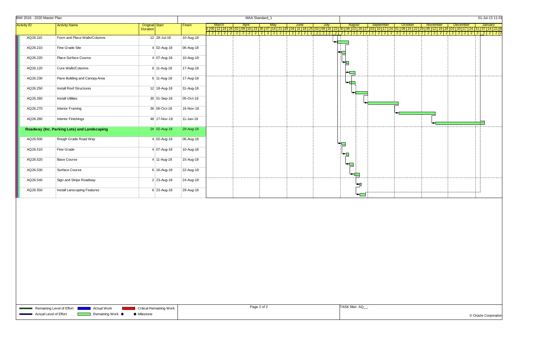| BWI 2016 - 2020 Master Plan |                                             |                             |           | MAA Standard_1                                                                                                                                                                                                                     |  |                |               |       |                         |                       | 01-Jul-13 11:0 |  |
|-----------------------------|---------------------------------------------|-----------------------------|-----------|------------------------------------------------------------------------------------------------------------------------------------------------------------------------------------------------------------------------------------|--|----------------|---------------|-------|-------------------------|-----------------------|----------------|--|
| <b>Activity ID</b>          | <b>Activity Name</b>                        | <b>Original</b> Start       | Finish    | March   April   May   June   July   August   September   October   November   December   January<br> -<br> 2005 12 19 26 02 09 16 23 30 07 14 21 28 04 11 18 25 02 09 16 23 30 06 13 20 27 03 10 17 24 01 08 15 22 29 05 12  31 05 |  |                |               |       |                         |                       |                |  |
|                             |                                             | <b>Duration</b>             |           | 2   2   2   2   2   2   2                                                                                                                                                                                                          |  |                | 2   2   2   2 | 22222 | 2   2<br>2 <sup>1</sup> | 2 2 2 2 2 2 2 2 2 2 2 |                |  |
| AQ26.110                    | Form and Place Walls/Columns                | $12$ 28-Jul-18              | 10-Aug-18 |                                                                                                                                                                                                                                    |  |                |               |       |                         |                       |                |  |
| AQ26.210                    | Fine Grade Site                             | $4 02 - Aug-18$             | 06-Aug-18 |                                                                                                                                                                                                                                    |  |                |               |       |                         |                       |                |  |
| AQ26.220                    | Place Surface Course                        | $4 07 - Aug - 18$           | 10-Aug-18 |                                                                                                                                                                                                                                    |  | ▚              |               |       |                         |                       |                |  |
| AQ26.120                    | Cure Walls/Columns                          | $6 \mid 11 - \text{Aug-18}$ | 17-Aug-18 |                                                                                                                                                                                                                                    |  |                |               |       |                         |                       |                |  |
| AQ26.230                    | Pave Building and Canopy Area               | 6 11-Aug-18                 | 17-Aug-18 |                                                                                                                                                                                                                                    |  |                |               |       |                         |                       |                |  |
| AQ26.250                    | <b>Install Roof Structures</b>              | 12 18-Aug-18                | 31-Aug-18 |                                                                                                                                                                                                                                    |  |                |               |       |                         |                       |                |  |
| AQ26.260                    | <b>Install Utilities</b>                    | $30 01-Sep-18$              | 05-Oct-18 |                                                                                                                                                                                                                                    |  |                |               |       |                         |                       |                |  |
| AQ26.270                    | Interior Framing                            | 36 06-Oct-18                | 16-Nov-18 |                                                                                                                                                                                                                                    |  |                |               |       |                         |                       |                |  |
| AQ26.280                    | Interior Finishings                         | 48 17-Nov-18                | 11-Jan-19 |                                                                                                                                                                                                                                    |  |                |               |       |                         |                       |                |  |
|                             | Roadway (Inc. Parking Lots) and Landscaping | 24 02-Aug-18                | 29-Aug-18 |                                                                                                                                                                                                                                    |  |                |               |       |                         |                       |                |  |
| AQ26.500                    | Rough Grade Road Way                        | $4 02 - Aug-18$             | 06-Aug-18 |                                                                                                                                                                                                                                    |  |                |               |       |                         |                       |                |  |
| AQ26.510                    | Fine Grade                                  | $4 07 - Aug - 18$           | 10-Aug-18 |                                                                                                                                                                                                                                    |  | ╺              |               |       |                         |                       |                |  |
| AQ26.520                    | <b>Base Course</b>                          | 4 11-Aug-18                 | 15-Aug-18 |                                                                                                                                                                                                                                    |  | ╺              |               |       |                         |                       |                |  |
| AQ26.530                    | Surface Course                              | $6 16 - \text{Aug-18}$      | 22-Aug-18 |                                                                                                                                                                                                                                    |  |                |               |       |                         |                       |                |  |
| AQ26.540                    | Sign and Stripe Roadway                     | $2 \mid 23 - \text{Aug-18}$ | 24-Aug-18 |                                                                                                                                                                                                                                    |  | $\blacksquare$ |               |       |                         |                       |                |  |
| AQ26.550                    | Install Lanscaping Features                 | 6 23-Aug-18                 | 29-Aug-18 |                                                                                                                                                                                                                                    |  |                |               |       |                         |                       |                |  |

|                      |                |                |                |                      |                |                |                           |                |                       |                |                |                |                                   | 01-Jul-13 11:01      |                  |                                   |                                                                     |
|----------------------|----------------|----------------|----------------|----------------------|----------------|----------------|---------------------------|----------------|-----------------------|----------------|----------------|----------------|-----------------------------------|----------------------|------------------|-----------------------------------|---------------------------------------------------------------------|
|                      |                | October        | 08 15 22       |                      |                | November       | $\overline{05}$  12 19 26 |                |                       | December       | $10$   17   24 |                |                                   |                      | January<br>07 14 |                                   |                                                                     |
| 01<br>$\overline{2}$ | $\overline{2}$ | $\overline{2}$ | $\overline{2}$ | 29<br>$\overline{2}$ | $\overline{2}$ | $\overline{2}$ | $\overline{2}$            | $\overline{2}$ | 03 <br>$\overline{2}$ | $\overline{2}$ | $\overline{2}$ | $\overline{2}$ | $\overline{31}$<br>$\overline{2}$ | $\overline{2}$       | $\overline{2}$   | $\overline{21}$<br>$\overline{2}$ | $\overline{\phantom{a}}$ $\overline{\phantom{a}}$<br>$\overline{2}$ |
|                      |                |                |                |                      |                |                |                           |                |                       |                |                |                |                                   |                      |                  |                                   |                                                                     |
|                      |                |                |                |                      |                |                |                           |                |                       |                |                |                |                                   |                      |                  |                                   |                                                                     |
|                      |                |                |                |                      |                |                |                           |                |                       |                |                |                |                                   |                      |                  |                                   |                                                                     |
|                      |                |                |                |                      |                |                |                           |                |                       |                |                |                |                                   |                      |                  |                                   |                                                                     |
|                      |                |                |                |                      |                |                |                           |                |                       |                |                |                |                                   |                      |                  |                                   |                                                                     |
|                      |                |                |                |                      |                |                |                           |                |                       |                |                |                |                                   |                      |                  |                                   |                                                                     |
|                      |                |                |                |                      |                |                |                           |                |                       |                |                |                |                                   |                      |                  |                                   |                                                                     |
|                      |                |                |                |                      |                |                |                           |                |                       |                |                |                |                                   |                      |                  |                                   |                                                                     |
|                      |                |                |                |                      |                |                |                           |                |                       |                |                |                |                                   |                      |                  |                                   |                                                                     |
|                      |                |                |                |                      |                |                |                           |                |                       |                |                |                |                                   |                      |                  |                                   |                                                                     |
|                      |                |                |                |                      |                |                |                           |                |                       |                |                |                |                                   |                      |                  |                                   |                                                                     |
|                      |                |                |                |                      |                |                |                           |                |                       |                |                |                |                                   |                      |                  |                                   |                                                                     |
|                      |                |                |                |                      |                |                |                           |                |                       |                |                |                |                                   |                      |                  |                                   |                                                                     |
|                      |                |                |                |                      |                |                |                           |                |                       |                |                |                |                                   |                      |                  |                                   |                                                                     |
|                      |                |                |                |                      |                |                |                           |                |                       |                |                |                |                                   |                      |                  |                                   |                                                                     |
|                      |                |                |                |                      |                |                |                           |                |                       |                |                |                |                                   |                      |                  |                                   |                                                                     |
|                      |                |                |                |                      |                |                |                           |                |                       |                |                |                |                                   |                      |                  |                                   |                                                                     |
|                      |                |                |                |                      |                |                |                           |                |                       |                |                |                |                                   |                      |                  |                                   |                                                                     |
|                      |                |                |                |                      |                |                |                           |                |                       |                |                |                |                                   |                      |                  |                                   |                                                                     |
|                      |                |                |                |                      |                |                |                           |                |                       |                |                |                |                                   |                      |                  |                                   |                                                                     |
|                      |                |                |                |                      |                |                |                           |                |                       |                |                |                |                                   |                      |                  |                                   |                                                                     |
|                      |                |                |                |                      |                |                |                           |                |                       |                |                |                |                                   |                      |                  |                                   |                                                                     |
|                      |                |                |                |                      |                |                |                           |                |                       |                |                |                |                                   |                      |                  |                                   |                                                                     |
|                      |                |                |                |                      |                |                |                           |                |                       |                |                |                |                                   |                      |                  |                                   |                                                                     |
|                      |                |                |                |                      |                |                |                           |                |                       |                |                |                |                                   |                      |                  |                                   |                                                                     |
|                      |                |                |                |                      |                |                |                           |                |                       |                |                |                |                                   |                      |                  |                                   |                                                                     |
|                      |                |                |                |                      |                |                |                           |                |                       |                |                |                |                                   |                      |                  |                                   |                                                                     |
|                      |                |                |                |                      |                |                |                           |                |                       |                |                |                |                                   |                      |                  |                                   |                                                                     |
|                      |                |                |                |                      |                |                |                           |                |                       |                |                |                |                                   |                      |                  |                                   |                                                                     |
|                      |                |                |                |                      |                |                |                           |                |                       |                |                |                |                                   |                      |                  |                                   |                                                                     |
|                      |                |                |                |                      |                |                |                           |                |                       |                |                |                |                                   |                      |                  |                                   |                                                                     |
|                      |                |                |                |                      |                |                |                           |                |                       |                |                |                |                                   |                      |                  |                                   |                                                                     |
|                      |                |                |                |                      |                |                |                           |                |                       |                |                |                |                                   |                      |                  |                                   |                                                                     |
|                      |                |                |                |                      |                |                |                           |                |                       |                |                |                |                                   |                      |                  |                                   |                                                                     |
|                      |                |                |                |                      |                |                |                           |                |                       |                |                |                |                                   |                      |                  |                                   |                                                                     |
|                      |                |                |                |                      |                |                |                           |                |                       |                |                |                |                                   |                      |                  |                                   |                                                                     |
|                      |                |                |                |                      |                |                |                           |                |                       |                |                |                |                                   |                      |                  |                                   |                                                                     |
|                      |                |                |                |                      |                |                |                           |                |                       |                |                |                |                                   |                      |                  |                                   |                                                                     |
|                      |                |                |                |                      |                |                |                           |                |                       |                |                |                |                                   |                      |                  |                                   |                                                                     |
|                      |                |                |                |                      |                |                |                           |                |                       |                |                |                |                                   |                      |                  |                                   |                                                                     |
|                      |                |                |                |                      |                |                |                           |                |                       |                |                |                |                                   |                      |                  |                                   |                                                                     |
|                      |                |                |                |                      |                |                |                           |                |                       |                |                |                |                                   |                      |                  |                                   |                                                                     |
|                      |                |                |                |                      |                |                |                           |                |                       |                |                |                |                                   |                      |                  |                                   |                                                                     |
|                      |                |                |                |                      |                |                |                           |                |                       |                |                |                |                                   |                      |                  |                                   |                                                                     |
|                      |                |                |                |                      |                |                |                           |                |                       |                |                |                |                                   |                      |                  |                                   |                                                                     |
|                      |                |                |                |                      |                |                |                           |                |                       |                |                |                |                                   |                      |                  |                                   |                                                                     |
|                      |                |                |                |                      |                |                |                           |                |                       |                |                |                |                                   |                      |                  |                                   |                                                                     |
|                      |                |                |                |                      |                |                |                           |                |                       |                |                |                |                                   |                      |                  |                                   |                                                                     |
|                      |                |                |                |                      |                |                |                           |                |                       |                |                |                |                                   |                      |                  |                                   |                                                                     |
|                      |                |                |                |                      |                |                |                           |                |                       |                |                |                |                                   | © Oracle Corporation |                  |                                   |                                                                     |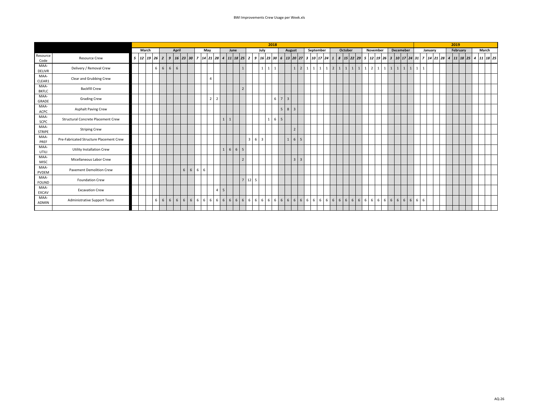|                       |                                           |   |       |   |       |                             |       |             |     |   |                |                |   |                                         |                 |                         |   |                | 2018                                                     |       |            |              |                                |              |             |                |   |                                                             |  |                   |  |                 |                 |                   |   |           |         |  | 2019 |          |   |       |          |  |
|-----------------------|-------------------------------------------|---|-------|---|-------|-----------------------------|-------|-------------|-----|---|----------------|----------------|---|-----------------------------------------|-----------------|-------------------------|---|----------------|----------------------------------------------------------|-------|------------|--------------|--------------------------------|--------------|-------------|----------------|---|-------------------------------------------------------------|--|-------------------|--|-----------------|-----------------|-------------------|---|-----------|---------|--|------|----------|---|-------|----------|--|
|                       |                                           |   | March |   |       |                             | April |             |     |   | May            |                |   | June                                    |                 |                         |   | July           |                                                          |       |            | August       |                                |              | September   |                |   | October                                                     |  | November          |  |                 |                 | Decemeber         |   |           | January |  |      | February |   | March |          |  |
| Resource<br>Code      | <b>Resource Crew</b>                      | 5 | 12 19 |   |       | $26$   2   9   16   23   30 |       |             |     |   |                |                |   | 7   14   21   28   4   11   18   25   2 |                 |                         |   |                | $9   16   23   30   6   13   20   27   3   10   17   24$ |       |            |              |                                |              |             |                |   | 1 8 15 22 29 5 12 29 26 3 10 17 24 31 7 14 21 28 4 11 18 25 |  |                   |  |                 |                 |                   |   |           |         |  |      |          | 4 |       | 11 18 25 |  |
| MAA-<br><b>DELIVR</b> | Delivery / Removal Crew                   |   |       |   |       | $6 \quad 6 \quad 6$         | 6     |             |     |   |                |                |   |                                         | $\overline{1}$  |                         |   |                | $1 \mid 1$                                               |       |            |              | $1\overline{2}$                | $\mathbf{1}$ |             | $1 \mid 1$     |   | 2   1   1   1   1                                           |  | $1 \mid 2 \mid 1$ |  | $1 \mid 1 \mid$ |                 | $1 \mid 1 \mid 1$ | 1 | $\vert$ 1 |         |  |      |          |   |       |          |  |
| MAA-<br>CLEAR1        | Clear and Grubbing Crew                   |   |       |   |       |                             |       |             |     |   | Δ              |                |   |                                         |                 |                         |   |                |                                                          |       |            |              |                                |              |             |                |   |                                                             |  |                   |  |                 |                 |                   |   |           |         |  |      |          |   |       |          |  |
| MAA-<br><b>BKFLC</b>  | <b>Backfill Crew</b>                      |   |       |   |       |                             |       |             |     |   |                |                |   |                                         | $\overline{2}$  |                         |   |                |                                                          |       |            |              |                                |              |             |                |   |                                                             |  |                   |  |                 |                 |                   |   |           |         |  |      |          |   |       |          |  |
| MAA-<br>GRADE         | <b>Grading Crew</b>                       |   |       |   |       |                             |       |             |     |   | $\overline{2}$ | $\overline{2}$ |   |                                         |                 |                         |   |                |                                                          | 6 7   |            | $\mathbf{R}$ |                                |              |             |                |   |                                                             |  |                   |  |                 |                 |                   |   |           |         |  |      |          |   |       |          |  |
| MAA-<br>ACPC          | <b>Asphalt Paving Crew</b>                |   |       |   |       |                             |       |             |     |   |                |                |   |                                         |                 |                         |   |                |                                                          |       | $5 \mid 8$ |              | $\overline{3}$                 |              |             |                |   |                                                             |  |                   |  |                 |                 |                   |   |           |         |  |      |          |   |       |          |  |
| MAA-<br>SCPC          | <b>Structural Concrete Placement Crew</b> |   |       |   |       |                             |       |             |     |   |                |                | 1 | $\mathbf{1}$                            |                 |                         |   |                |                                                          | 6 5   |            |              |                                |              |             |                |   |                                                             |  |                   |  |                 |                 |                   |   |           |         |  |      |          |   |       |          |  |
| MAA-<br><b>STRIPE</b> | <b>Striping Crew</b>                      |   |       |   |       |                             |       |             |     |   |                |                |   |                                         |                 |                         |   |                |                                                          |       |            |              |                                |              |             |                |   |                                                             |  |                   |  |                 |                 |                   |   |           |         |  |      |          |   |       |          |  |
| MAA-<br>PREF          | Pre-Fabricated Structure Placement Crew   |   |       |   |       |                             |       |             |     |   |                |                |   |                                         |                 | $\overline{\mathbf{3}}$ | 6 | $\overline{3}$ |                                                          |       |            |              | 5<br>6 I                       |              |             |                |   |                                                             |  |                   |  |                 |                 |                   |   |           |         |  |      |          |   |       |          |  |
| MAA-<br>UTILI         | <b>Utility Installation Crew</b>          |   |       |   |       |                             |       |             |     |   |                |                |   | $1 \t6 \t6 \t5$                         |                 |                         |   |                |                                                          |       |            |              |                                |              |             |                |   |                                                             |  |                   |  |                 |                 |                   |   |           |         |  |      |          |   |       |          |  |
| MAA-<br>MISC          | Micellaneous Labor Crew                   |   |       |   |       |                             |       |             |     |   |                |                |   |                                         | $\overline{2}$  |                         |   |                |                                                          |       |            |              | $\mathbf{R}$<br>$\overline{3}$ |              |             |                |   |                                                             |  |                   |  |                 |                 |                   |   |           |         |  |      |          |   |       |          |  |
| MAA-<br>PVDEM         | <b>Pavement Demolition Crew</b>           |   |       |   |       |                             |       | 6           | 6 6 | 6 |                |                |   |                                         |                 |                         |   |                |                                                          |       |            |              |                                |              |             |                |   |                                                             |  |                   |  |                 |                 |                   |   |           |         |  |      |          |   |       |          |  |
| MAA-<br><b>FOUND</b>  | <b>Foundation Crew</b>                    |   |       |   |       |                             |       |             |     |   |                |                |   |                                         |                 | $7 \mid 12$             | 5 |                |                                                          |       |            |              |                                |              |             |                |   |                                                             |  |                   |  |                 |                 |                   |   |           |         |  |      |          |   |       |          |  |
| MAA-<br><b>EXCAV</b>  | <b>Excavation Crew</b>                    |   |       |   |       |                             |       |             |     |   |                | 4 I            | 5 |                                         |                 |                         |   |                |                                                          |       |            |              |                                |              |             |                |   |                                                             |  |                   |  |                 |                 |                   |   |           |         |  |      |          |   |       |          |  |
| MAA-<br>ADMIN         | Administrative Support Team               |   |       | 6 | $6 -$ | 6 <sup>6</sup>              |       | $6 \quad 6$ |     |   |                | 6 6 6 6 6 6    |   | 6 <sup>1</sup>                          | $6\overline{6}$ | 6<br>6                  | 6 |                | $6 \quad 6$                                              | 6 6 6 |            |              | $6 \mid 6$                     |              | $6 \quad 6$ | 6 <sup>1</sup> | 6 | 6 6 6 6 6 6 6 6                                             |  |                   |  | $6 \mid 6$      | $6\overline{6}$ | 6 6               | 6 | 6         |         |  |      |          |   |       |          |  |
|                       |                                           |   |       |   |       |                             |       |             |     |   |                |                |   |                                         |                 |                         |   |                |                                                          |       |            |              |                                |              |             |                |   |                                                             |  |                   |  |                 |                 |                   |   |           |         |  |      |          |   |       |          |  |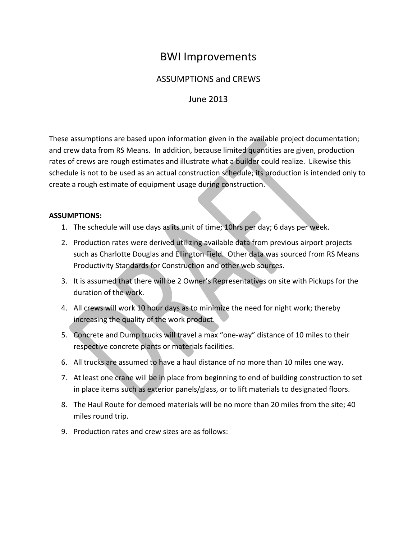## BWI Improvements

## ASSUMPTIONS and CREWS

## June 2013

These assumptions are based upon information given in the available project documentation; and crew data from RS Means. In addition, because limited quantities are given, production rates of crews are rough estimates and illustrate what a builder could realize. Likewise this schedule is not to be used as an actual construction schedule; its production is intended only to create a rough estimate of equipment usage during construction.

#### **ASSUMPTIONS:**

- 1. The schedule will use days as its unit of time; 10hrs per day; 6 days per week.
- 2. Production rates were derived utilizing available data from previous airport projects such as Charlotte Douglas and Ellington Field. Other data was sourced from RS Means Productivity Standards for Construction and other web sources.
- 3. It is assumed that there will be 2 Owner's Representatives on site with Pickups for the duration of the work.
- 4. All crews will work 10 hour days as to minimize the need for night work; thereby increasing the quality of the work product.
- 5. Concrete and Dump trucks will travel a max "one-way" distance of 10 miles to their respective concrete plants or materials facilities.
- 6. All trucks are assumed to have a haul distance of no more than 10 miles one way.
- 7. At least one crane will be in place from beginning to end of building construction to set in place items such as exterior panels/glass, or to lift materials to designated floors.
- 8. The Haul Route for demoed materials will be no more than 20 miles from the site; 40 miles round trip.
- 9. Production rates and crew sizes are as follows: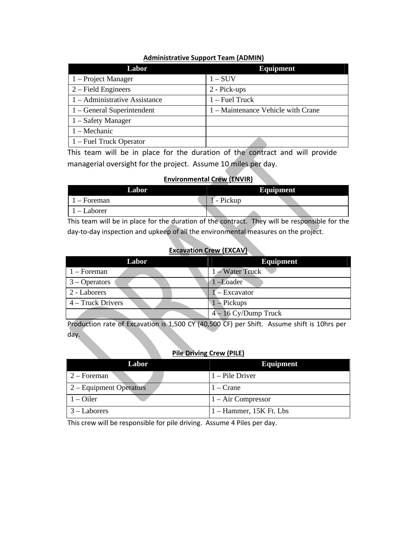| Labor                         | <b>Equipment</b>                   |
|-------------------------------|------------------------------------|
| 1 – Project Manager           | $1-SUV$                            |
| $2$ – Field Engineers         | 2 - Pick-ups                       |
| 1 – Administrative Assistance | $1 -$ Fuel Truck                   |
| 1 - General Superintendent    | 1 – Maintenance Vehicle with Crane |
| $1 -$ Safety Manager          |                                    |
| $1 - \text{Mechanic}$         |                                    |
| 1 – Fuel Truck Operator       |                                    |

#### **Administrative Support Team (ADMIN)**

This team will be in place for the duration of the contract and will provide managerial oversight for the project. Assume 10 miles per day.

#### **Environmental Crew (ENVIR)**

| Labor     | <b>Equipment</b>                   |                             |
|-----------|------------------------------------|-----------------------------|
| - Foreman | Pickup<br>$\overline{\phantom{0}}$ | .<br><b>COOK</b><br>,,,,,,, |
| – Laborer | ______<br>_____                    | $\sim$<br><br><br>.         |

This team will be in place for the duration of the contract. They will be responsible for the day-to-day inspection and upkeep of all the environmental measures on the project.

#### **Excavation Crew (EXCAV)**

| Labor             | <b>Equipment</b>         |
|-------------------|--------------------------|
| $1 -$ Foreman     | 1 – Water Truck          |
| $3 - Operators$   | 1-Loader                 |
| 2 - Laborers      | $\mathbf{I}$ – Excavator |
| 4 – Truck Drivers | $1 -$ Pickups            |
|                   | $4 - 16$ Cy/Dump Truck   |

Production rate of Excavation is 1,500 CY (40,500 CF) per Shift. Assume shift is 10hrs per day.

#### **Pile Driving Crew (PILE)**

| Labor                   | <b>Equipment</b>          |
|-------------------------|---------------------------|
| $2 -$ Foreman           | $1$ – Pile Driver         |
| 2 – Equipment Operators | $1 - \text{Crane}$        |
| $1 -$ Oiler             | $1 - Air Compresor$       |
| $3 -$ Laborers          | $1 -$ Hammer, 15K Ft. Lbs |

This crew will be responsible for pile driving. Assume 4 Piles per day.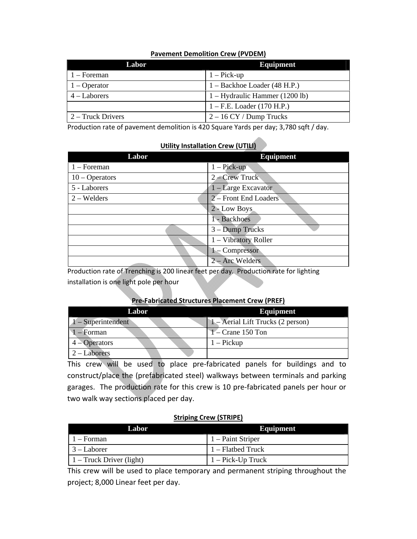#### **Pavement Demolition Crew (PVDEM)**

| Labor             | Equipment                      |
|-------------------|--------------------------------|
| $1 -$ Foreman     | $1 - Pick-up$                  |
| $1 - Operator$    | $1 - Backhoe$ Loader (48 H.P.) |
| $4 -$ Laborers    | 1 – Hydraulic Hammer (1200 lb) |
|                   | $1 - F.E.$ Loader (170 H.P.)   |
| 2 – Truck Drivers | $2 - 16$ CY / Dump Trucks      |

Production rate of pavement demolition is 420 Square Yards per day; 3,780 sqft / day.

#### **Utility Installation Crew (UTILI)**

| Labor            | <b>Equipment</b>      |
|------------------|-----------------------|
| $1 -$ Foreman    | $1 - Pick-up$         |
| $10 - Operators$ | $2 - C$ rew Truck     |
| 5 - Laborers     | 1 – Large Excavator   |
| $2 - W$ elders   | 2 – Front End Loaders |
|                  | 2 - Low Boys          |
|                  | 1 - Backhoes          |
|                  | 3 – Dump Trucks       |
|                  | 1 - Vibratory Roller  |
|                  | 1 - Compressor        |
|                  | 2 – Arc Welders       |

Production rate of Trenching is 200 linear feet per day. Production rate for lighting installation is one light pole per hour

#### **Pre‐Fabricated Structures Placement Crew (PREF)**

| Labor                 | Equipment                         |
|-----------------------|-----------------------------------|
| $-Superintendent$     | 1 – Aerial Lift Trucks (2 person) |
| $1 -$ Forman          | $1 -$ Crane 150 Ton               |
| $4 -$ Operators       | $1 -$ Pickup                      |
| $2 - \text{Laborers}$ |                                   |

This crew will be used to place pre-fabricated panels for buildings and to construct/place the (prefabricated steel) walkways between terminals and parking garages. The production rate for this crew is 10 pre‐fabricated panels per hour or two walk way sections placed per day.

#### **Striping Crew (STRIPE)**

| Labor.                           | Equipment            |
|----------------------------------|----------------------|
| $1 -$ Forman                     | 1 – Paint Striper    |
| $\vert 3 - \text{Laborer} \vert$ | 1 – Flatbed Truck    |
| $\vert$ 1 – Truck Driver (light) | $1 - Pick$ -Up Truck |

This crew will be used to place temporary and permanent striping throughout the project; 8,000 Linear feet per day.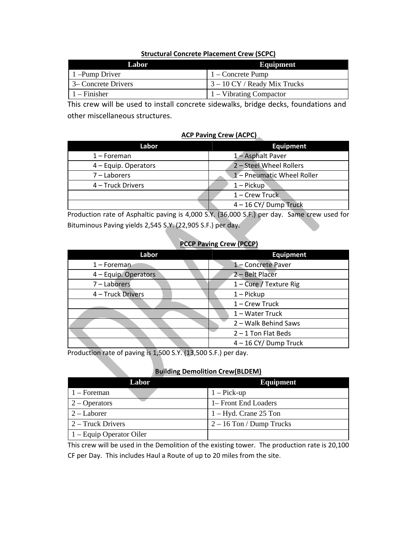#### **Structural Concrete Placement Crew (SCPC)**

| Labor                       | Equipment                                                      |
|-----------------------------|----------------------------------------------------------------|
| $\vert$ 1 – Pump Driver     | $1 -$ Concrete Pump                                            |
| $\vert$ 3– Concrete Drivers | $\frac{3 - 10 \text{ CY}}{3 - 10 \text{ CY}}$ Ready Mix Trucks |
| $1 -$ Finisher              | 1 – Vibrating Compactor                                        |

This crew will be used to install concrete sidewalks, bridge decks, foundations and other miscellaneous structures.

#### **ACP Paving Crew (ACPC)**

| Labor                | <b>Equipment</b>           |
|----------------------|----------------------------|
| $1 -$ Foreman        | 1 - Asphalt Paver          |
| 4 – Equip. Operators | 2 - Steel Wheel Rollers    |
| 7 – Laborers         | 1 - Pneumatic Wheel Roller |
| 4 - Truck Drivers    | $1 -$ Pickup               |
|                      | 1 - Crew Truck             |
|                      | 4-16 CY/Dump Truck         |

Production rate of Asphaltic paving is 4,000 S.Y. (36,000 S.F.) per day. Same crew used for Bituminous Paving yields 2,545 S.Y. (22,905 S.F.) per day.

#### **PCCP Paving Crew (PCCP)**

| Labor                | <b>Equipment</b>        |
|----------------------|-------------------------|
| $1 -$ Foreman        | 1 - Concrete Paver      |
| 4 - Equip. Operators | 2-Belt Placer           |
| 7 - Laborers         | 1 - Cure / Texture Rig  |
| 4 - Truck Drivers    | $1 -$ Pickup            |
|                      | $1 -$ Crew Truck        |
|                      | 1-Water Truck           |
|                      | 2 - Walk Behind Saws    |
|                      | $2 - 1$ Ton Flat Beds   |
|                      | $4 - 16$ CY/ Dump Truck |

Production rate of paving is 1,500 S.Y. (13,500 S.F.) per day.

#### **Building Demolition Crew(BLDEM)**

| $\blacksquare$<br>Labor    | <b>Equipment</b>           |
|----------------------------|----------------------------|
| $1 -$ Foreman              | $1 - Pick-up$              |
| $\sqrt{2}$ - Operators     | 1– Front End Loaders       |
| $2 -$ Laborer              | $1 - Hyd$ . Crane 25 Ton   |
| $2 -$ Truck Drivers        | $2 - 16$ Ton / Dump Trucks |
| $1 -$ Equip Operator Oiler |                            |

This crew will be used in the Demolition of the existing tower. The production rate is 20,100 CF per Day. This includes Haul a Route of up to 20 miles from the site.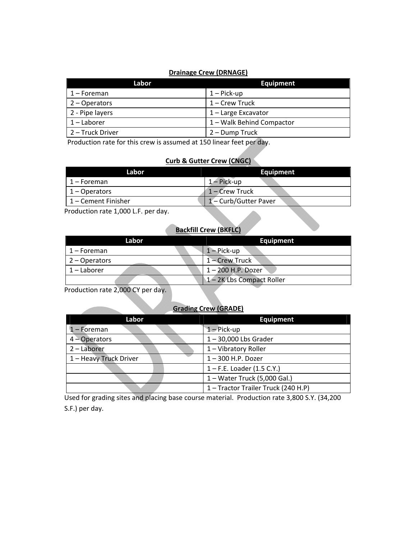#### **Drainage Crew (DRNAGE)**

| Labor            | <b>Equipment</b>          |
|------------------|---------------------------|
| 1 – Foreman      | $1 - Pick-up$             |
| 2 - Operators    | 1 – Crew Truck            |
| 2 - Pipe layers  | $1$ – Large Excavator     |
| $1 -$ Laborer    | 1 - Walk Behind Compactor |
| 2 – Truck Driver | 2 – Dump Truck            |

Production rate for this crew is assumed at 150 linear feet per day.

#### **Curb & Gutter Crew (CNGC)**

| Labor               | <b>Equipment</b>    |
|---------------------|---------------------|
| 1 – Foreman         | $1 - Pick-up$       |
| $1 -$ Operators     | $1 -$ Crew Truck    |
| 1 – Cement Finisher | 1-Curb/Gutter Paver |
|                     |                     |

Production rate 1,000 L.F. per day.

## **Backfill Crew (BKFLC)**

| Labor         | <b>Equipment</b>        |
|---------------|-------------------------|
| 1 – Foreman   | $1 - Pick-up$           |
| 2 – Operators | 1 – Crew Truck          |
| $1$ – Laborer | $1 - 200$ H.P. Dozer    |
|               | 1-2K Lbs Compact Roller |

Production rate 2,000 CY per day.

### **Grading Crew (GRADE)**

| Labor                  | <b>Equipment</b>                  |
|------------------------|-----------------------------------|
| $1 -$ Foreman          | $1 - Pick-up$                     |
| $4 -$ Operators        | $1 - 30,000$ Lbs Grader           |
| 2 - Laborer            | 1 - Vibratory Roller              |
| 1 - Heavy Truck Driver | $1 - 300$ H.P. Dozer              |
|                        | $1 - F.E.$ Loader (1.5 C.Y.)      |
|                        | 1 - Water Truck (5,000 Gal.)      |
|                        | 1-Tractor Trailer Truck (240 H.P) |

Used for grading sites and placing base course material. Production rate 3,800 S.Y. (34,200 S.F.) per day.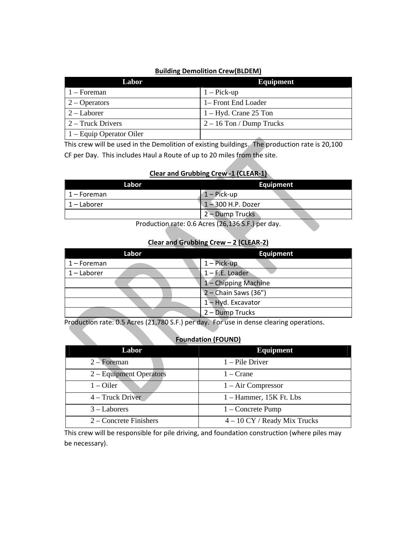#### **Building Demolition Crew(BLDEM)**

| Labor                      | <b>Equipment</b>           |
|----------------------------|----------------------------|
| $1 -$ Foreman              | $1 - Pick-up$              |
| $2 -$ Operators            | 1– Front End Loader        |
| $2 -$ Laborer              | $1 - Hyd$ . Crane 25 Ton   |
| $2 -$ Truck Drivers        | $2 - 16$ Ton / Dump Trucks |
| $1 -$ Equip Operator Oiler |                            |

This crew will be used in the Demolition of existing buildings. The production rate is 20,100 CF per Day. This includes Haul a Route of up to 20 miles from the site.

#### **Clear and Grubbing Crew ‐1 (CLEAR‐1)**

| Labor       | Equipment            |
|-------------|----------------------|
| 1 – Foreman | $1 - Pick-up$        |
| 1 – Laborer | $1 - 300$ H.P. Dozer |
|             | 2 - Dump Trucks      |

Production rate: 0.6 Acres (26,136 S.F.) per day.

#### **Clear and Grubbing Crew – 2 (CLEAR‐2)**

| Labor         | <b>Equipment</b>       |
|---------------|------------------------|
| $1 -$ Foreman | $1 - Pick-up$          |
| $1 -$ Laborer | $1 - F.E.$ Loader      |
|               | 1 - Chipping Machine   |
|               | $2$ – Chain Saws (36") |
|               | 1-Hyd. Excavator       |
|               | 2 - Dump Trucks        |

Production rate: 0.5 Acres (21,780 S.F.) per day. For use in dense clearing operations.

#### **Foundation (FOUND)**

| Labor                    | <b>Equipment</b>               |
|--------------------------|--------------------------------|
| $2 -$ Foreman            | $1$ – Pile Driver              |
| 2 – Equipment Operators  | $1 - \text{Crane}$             |
| $1 -$ Oiler              | $1 - Air Compresor$            |
| 4 – Truck Driver         | $1 -$ Hammer, 15K Ft. Lbs      |
| $3 -$ Laborers           | $1 -$ Concrete Pump            |
| $2$ – Concrete Finishers | $4 - 10$ CY / Ready Mix Trucks |

This crew will be responsible for pile driving, and foundation construction (where piles may be necessary).